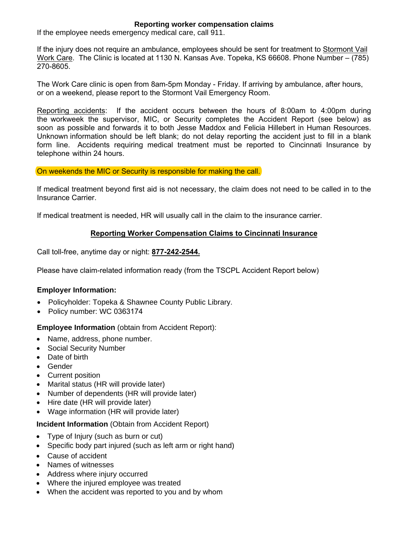# **Reporting worker compensation claims**

If the employee needs emergency medical care, call 911.

If the injury does not require an ambulance, employees should be sent for treatment to Stormont Vail Work Care. The Clinic is located at 1130 N. Kansas Ave. Topeka, KS 66608. Phone Number – (785) 270-8605.

The Work Care clinic is open from 8am-5pm Monday - Friday. If arriving by ambulance, after hours, or on a weekend, please report to the Stormont Vail Emergency Room.

Reporting accidents: If the accident occurs between the hours of 8:00am to 4:00pm during the workweek the supervisor, MIC, or Security completes the Accident Report (see below) as soon as possible and forwards it to both Jesse Maddox and Felicia Hillebert in Human Resources. Unknown information should be left blank; do not delay reporting the accident just to fill in a blank form line. Accidents requiring medical treatment must be reported to Cincinnati Insurance by telephone within 24 hours.

#### On weekends the MIC or Security is responsible for making the call.

If medical treatment beyond first aid is not necessary, the claim does not need to be called in to the Insurance Carrier.

If medical treatment is needed, HR will usually call in the claim to the insurance carrier.

# **Reporting Worker Compensation Claims to Cincinnati Insurance**

Call toll-free, anytime day or night: **877-242-2544.**

Please have claim-related information ready (from the TSCPL Accident Report below)

# **Employer Information:**

- Policyholder: Topeka & Shawnee County Public Library.
- Policy number: WC 0363174

# **Employee Information** (obtain from Accident Report):

- Name, address, phone number.
- Social Security Number
- Date of birth
- Gender
- Current position
- Marital status (HR will provide later)
- Number of dependents (HR will provide later)
- Hire date (HR will provide later)
- Wage information (HR will provide later)

#### **Incident Information** (Obtain from Accident Report)

- Type of Injury (such as burn or cut)
- Specific body part injured (such as left arm or right hand)
- Cause of accident
- Names of witnesses
- Address where injury occurred
- Where the injured employee was treated
- When the accident was reported to you and by whom